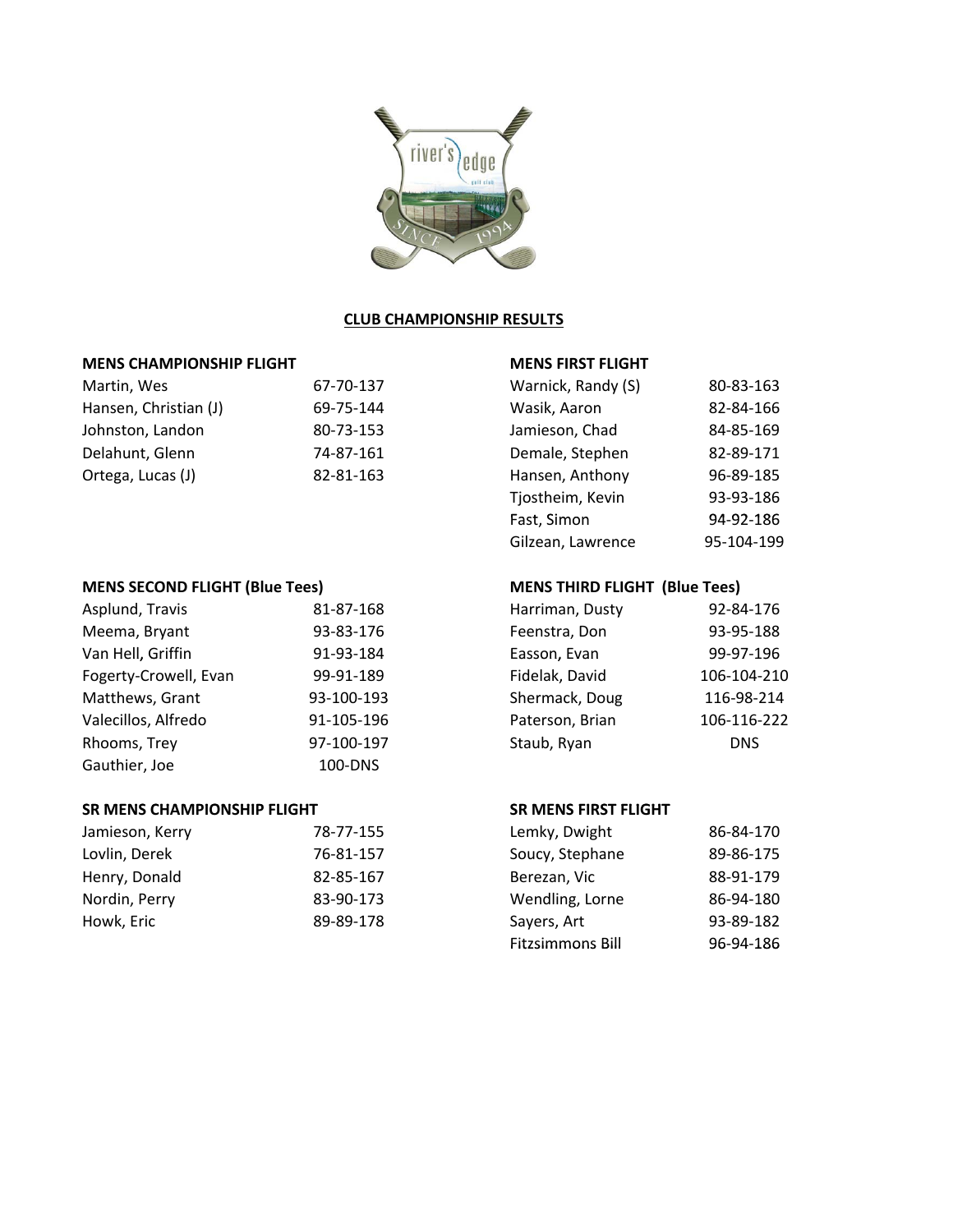

## **CLUB CHAMPIONSHIP RESULTS**

## **MENS CHAMPIONSHIP FLIGHT MENS FIRST FLIGHT**

| Martin, Wes           | 67-70-137 | Warnick, Randy (S) | 80-83-163 |
|-----------------------|-----------|--------------------|-----------|
| Hansen, Christian (J) | 69-75-144 | Wasik, Aaron       | 82-84-166 |
| Johnston, Landon      | 80-73-153 | Jamieson, Chad     | 84-85-169 |
| Delahunt, Glenn       | 74-87-161 | Demale, Stephen    | 82-89-171 |
| Ortega, Lucas (J)     | 82-81-163 | Hansen, Anthony    | 96-89-185 |

# **MENS SECOND FLIGHT (Blue Tees) MENS THIRD FLIGHT (Blue Tees)**

| Asplund, Travis       | 81-87-168  | Harriman, Dusty | 92-84-176   |
|-----------------------|------------|-----------------|-------------|
| Meema, Bryant         | 93-83-176  | Feenstra, Don   | 93-95-188   |
| Van Hell, Griffin     | 91-93-184  | Easson, Evan    | 99-97-196   |
| Fogerty-Crowell, Evan | 99-91-189  | Fidelak, David  | 106-104-210 |
| Matthews, Grant       | 93-100-193 | Shermack, Doug  | 116-98-214  |
| Valecillos, Alfredo   | 91-105-196 | Paterson, Brian | 106-116-222 |
| Rhooms, Trey          | 97-100-197 | Staub, Ryan     | <b>DNS</b>  |
| Gauthier, Joe         | 100-DNS    |                 |             |

### **SR MENS CHAMPIONSHIP FLIGHT SR MENS FIRST FLIGHT SR MENS CHAMPIONSHIP FLIGHT SR MENS FIRST FLIGHT**

| Jamieson, Kerry | 78-77-155 | Lemky, Dwight   | 86-84-170 |
|-----------------|-----------|-----------------|-----------|
| Lovlin, Derek   | 76-81-157 | Soucy, Stephane | 89-86-175 |
| Henry, Donald   | 82-85-167 | Berezan, Vic    | 88-91-179 |
| Nordin, Perry   | 83-90-173 | Wendling, Lorne | 86-94-180 |
| Howk, Eric      | 89-89-178 | Sayers, Art     | 93-89-182 |

| Warnick, Randy (S) | 80-83-163  |
|--------------------|------------|
| Wasik, Aaron       | 82-84-166  |
| Jamieson, Chad     | 84-85-169  |
| Demale, Stephen    | 82-89-171  |
| Hansen, Anthony    | 96-89-185  |
| Tjostheim, Kevin   | 93-93-186  |
| Fast, Simon        | 94-92-186  |
| Gilzean, Lawrence  | 95-104-199 |

| Harriman, Dusty | 92-84-176   |
|-----------------|-------------|
| Feenstra, Don   | 93-95-188   |
| Easson, Evan    | 99-97-196   |
| Fidelak, David  | 106-104-210 |
| Shermack, Doug  | 116-98-214  |
| Paterson, Brian | 106-116-222 |
| Staub, Ryan     | DNS         |
|                 |             |

| Lemky, Dwight           | 86-84-170 |
|-------------------------|-----------|
| Soucy, Stephane         | 89-86-175 |
| Berezan, Vic            | 88-91-179 |
| Wendling, Lorne         | 86-94-180 |
| Sayers, Art             | 93-89-182 |
| <b>Fitzsimmons Bill</b> | 96-94-186 |
|                         |           |